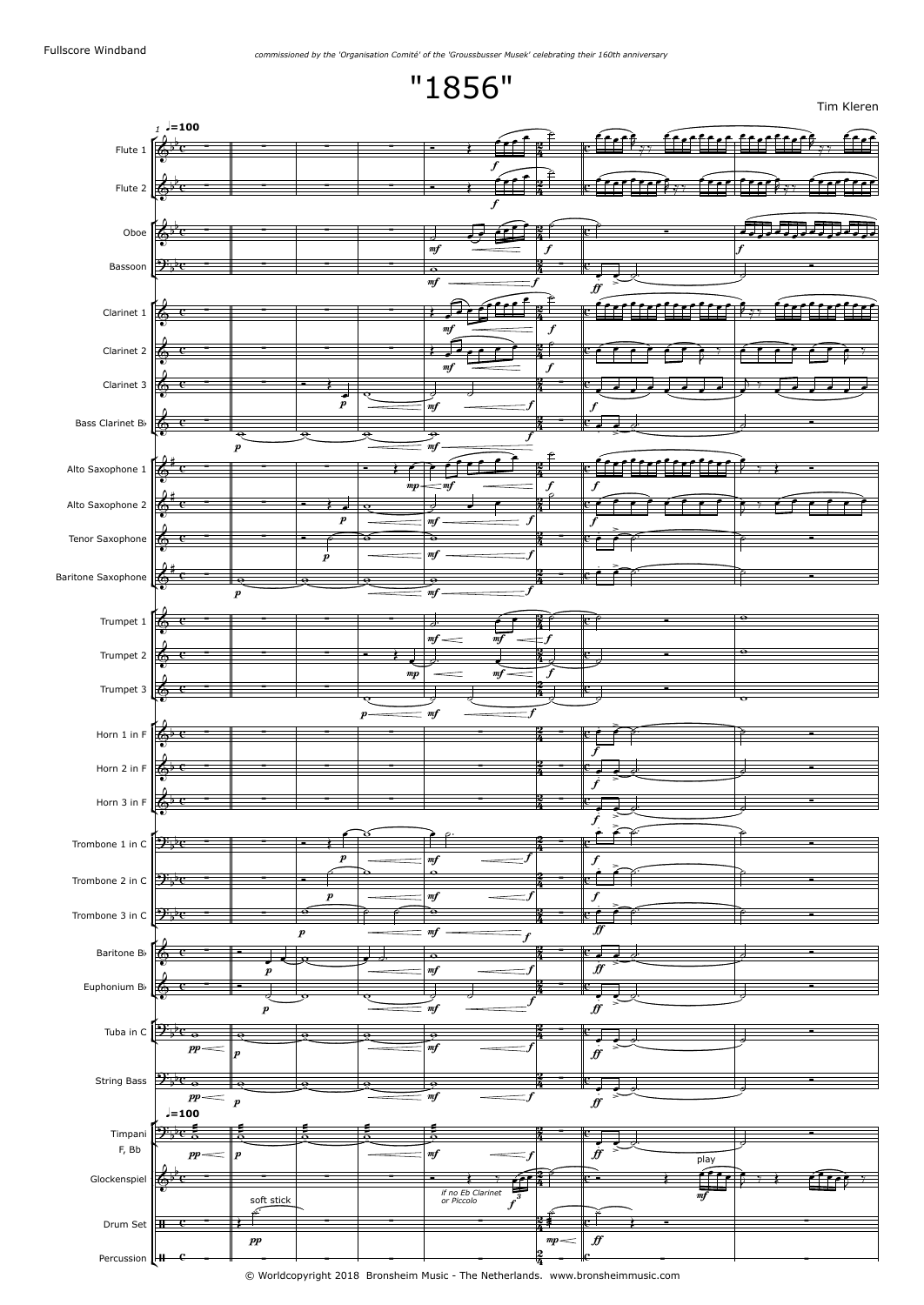"1856"



© Worldcopyright 2018 Bronsheim Music -The Netherlands. www.bronsheimmusic.com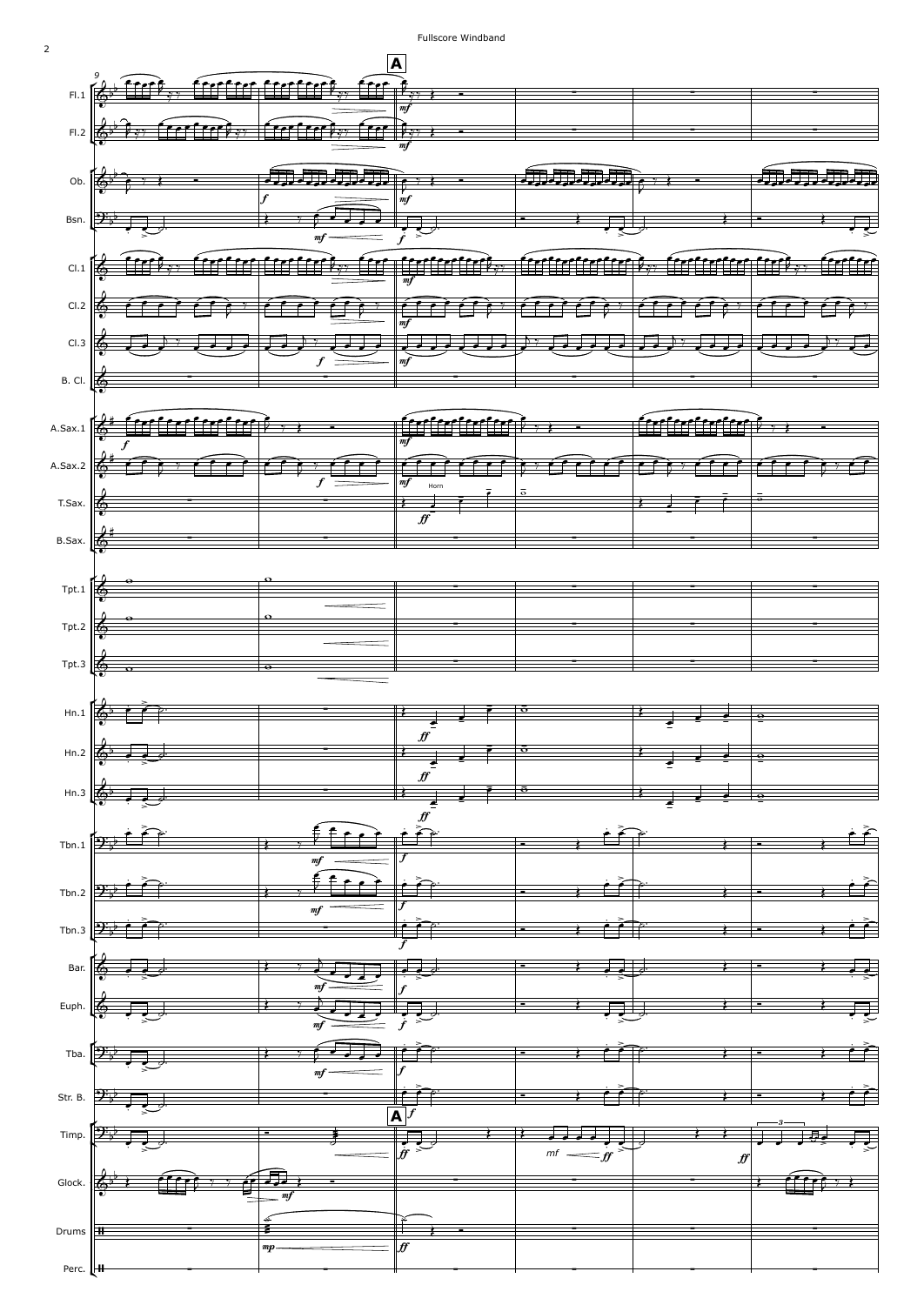

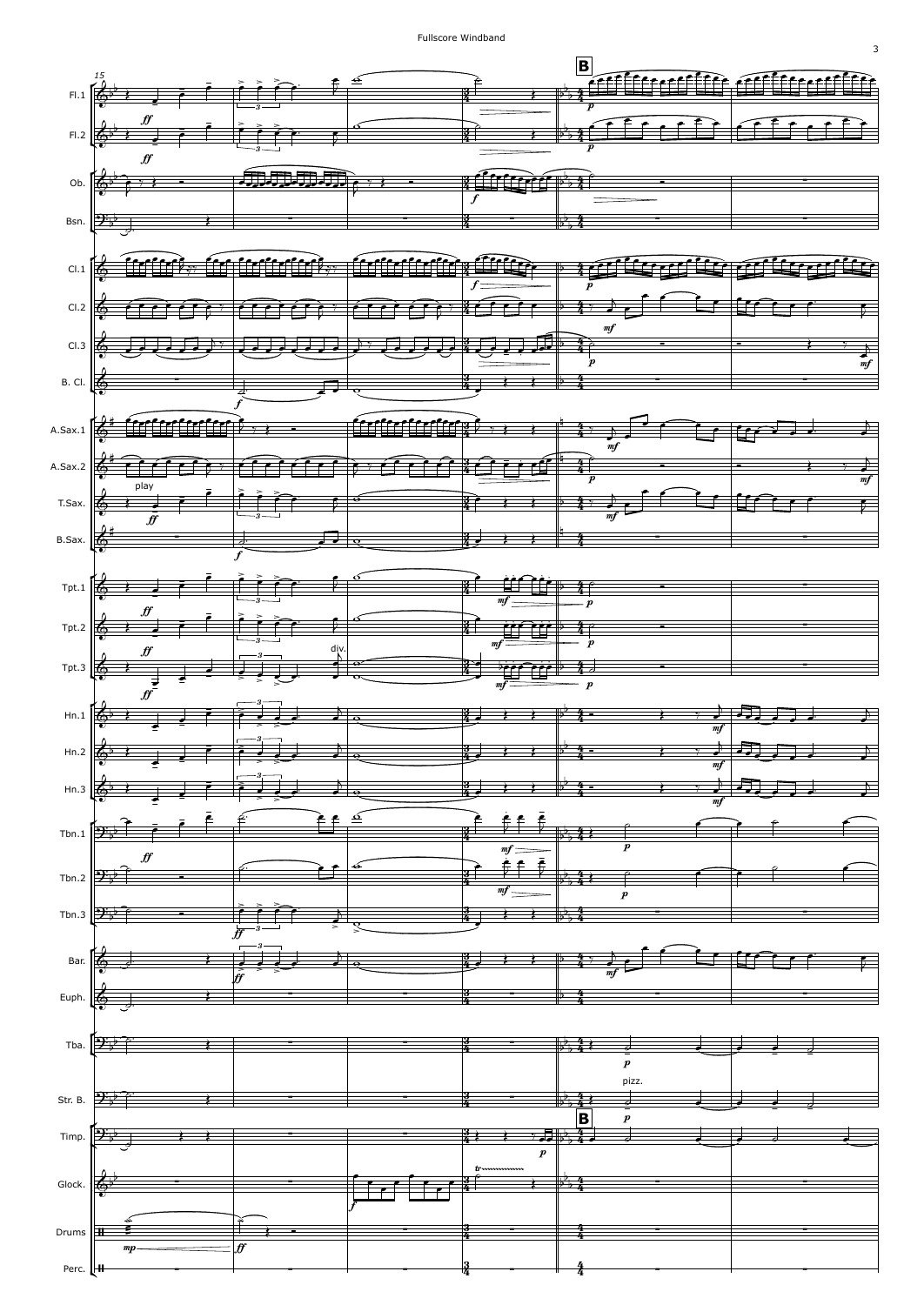

3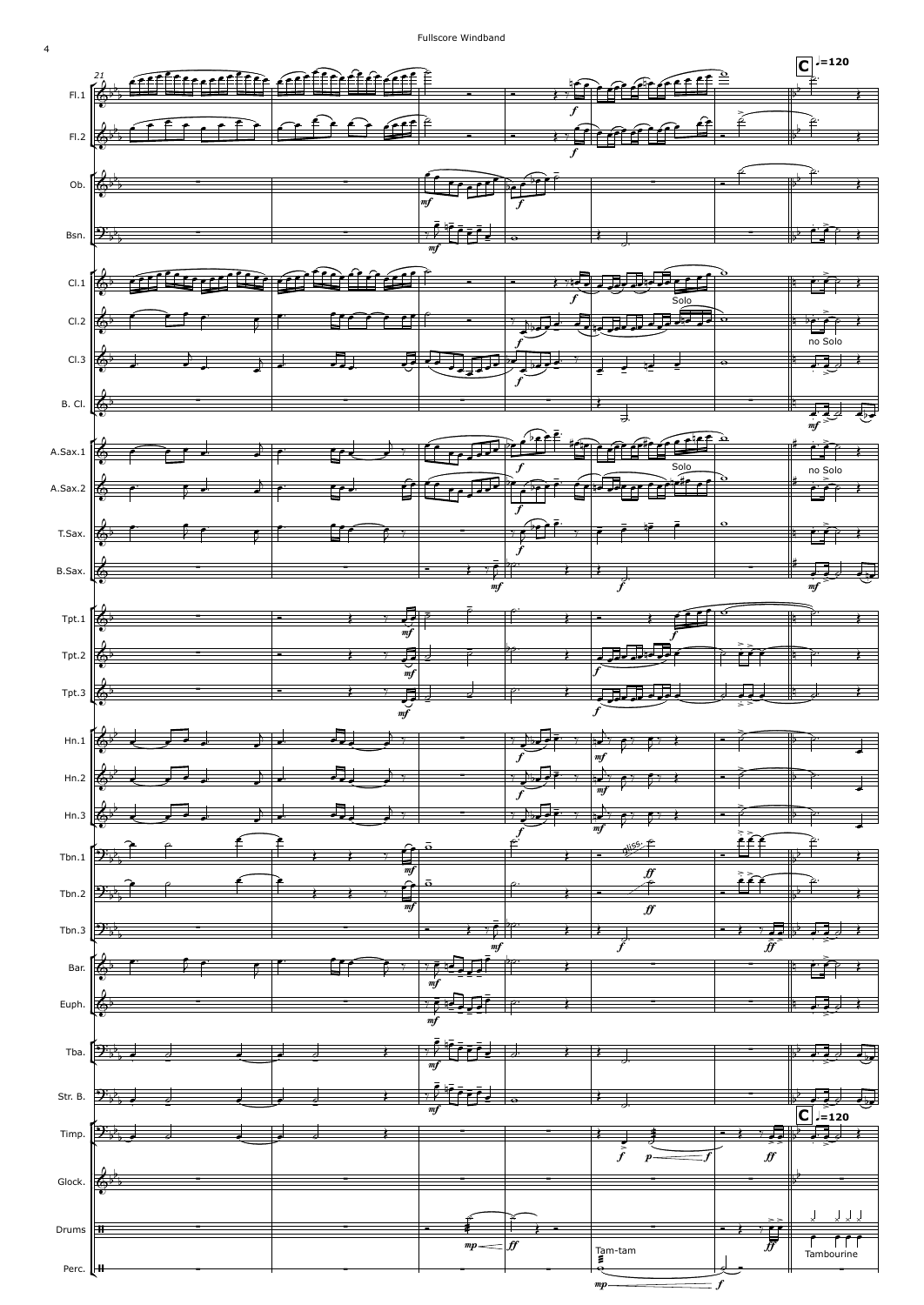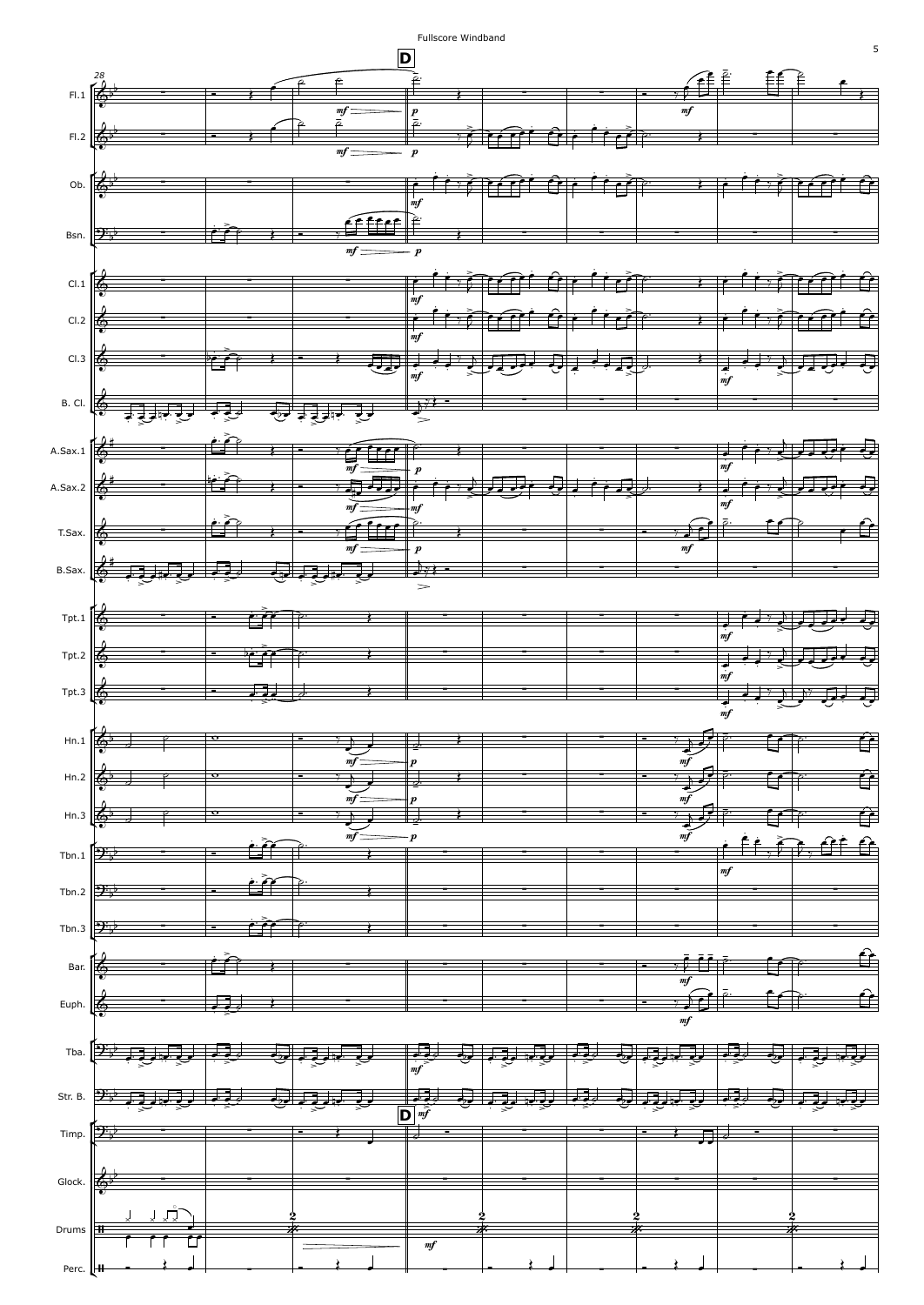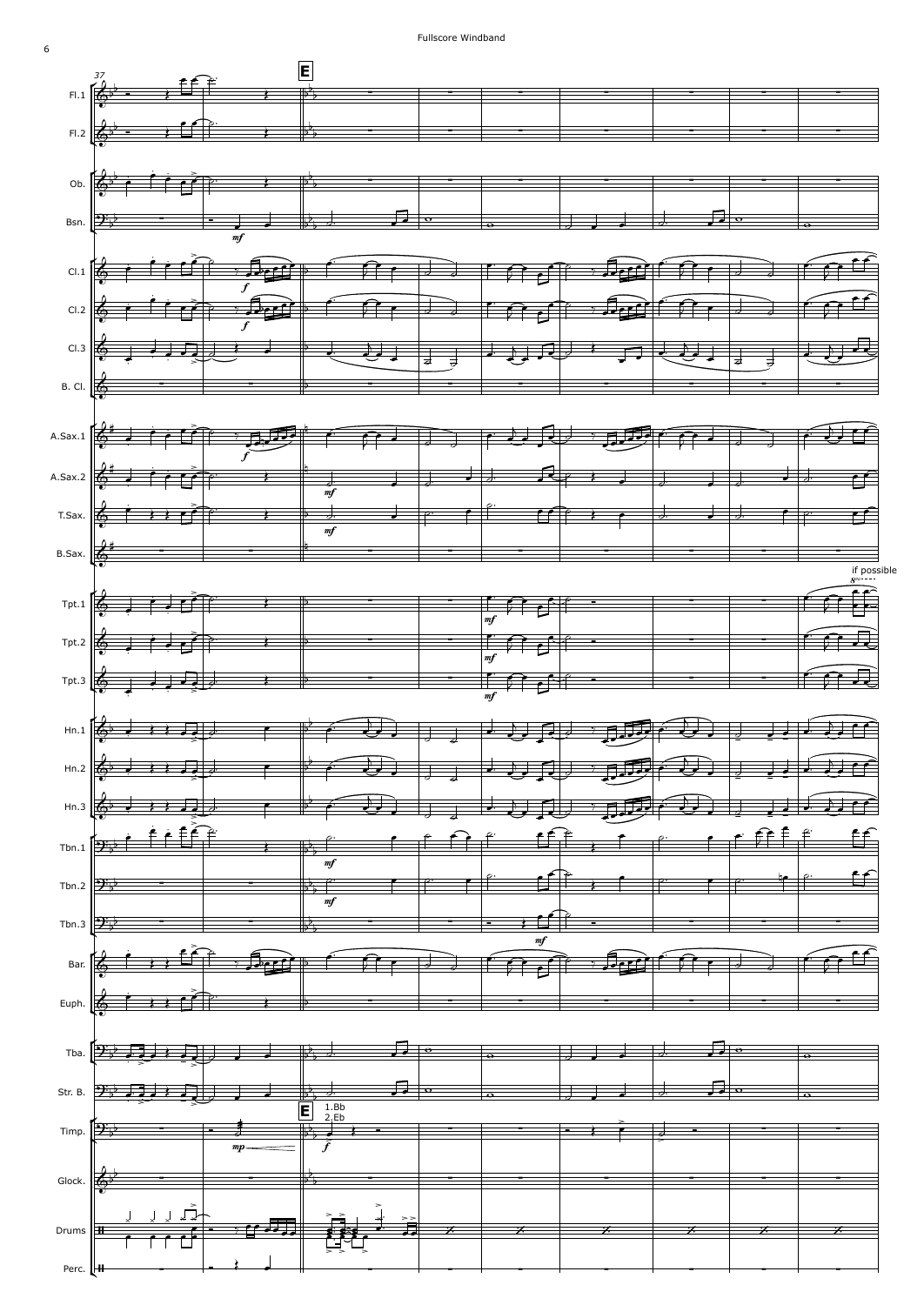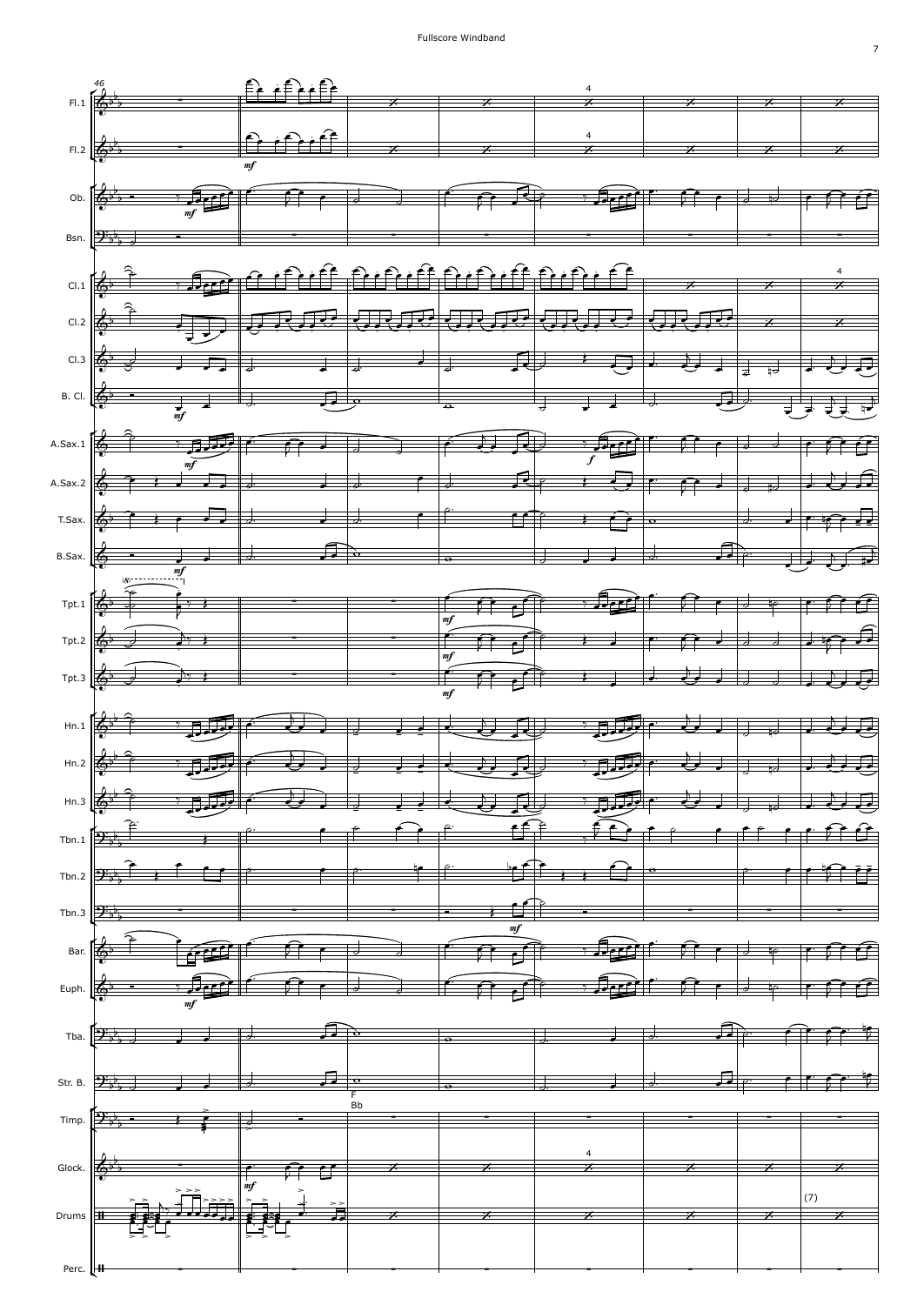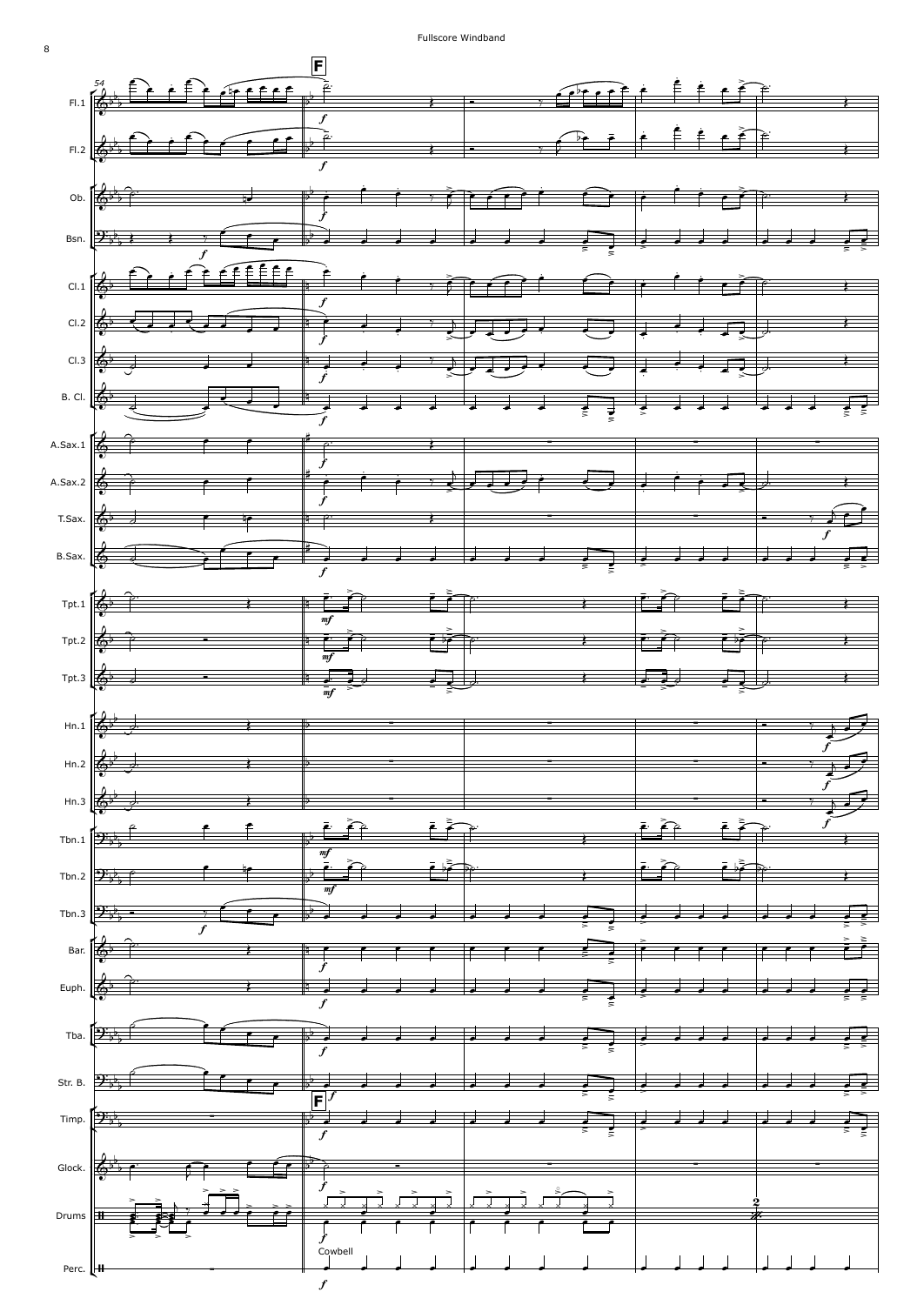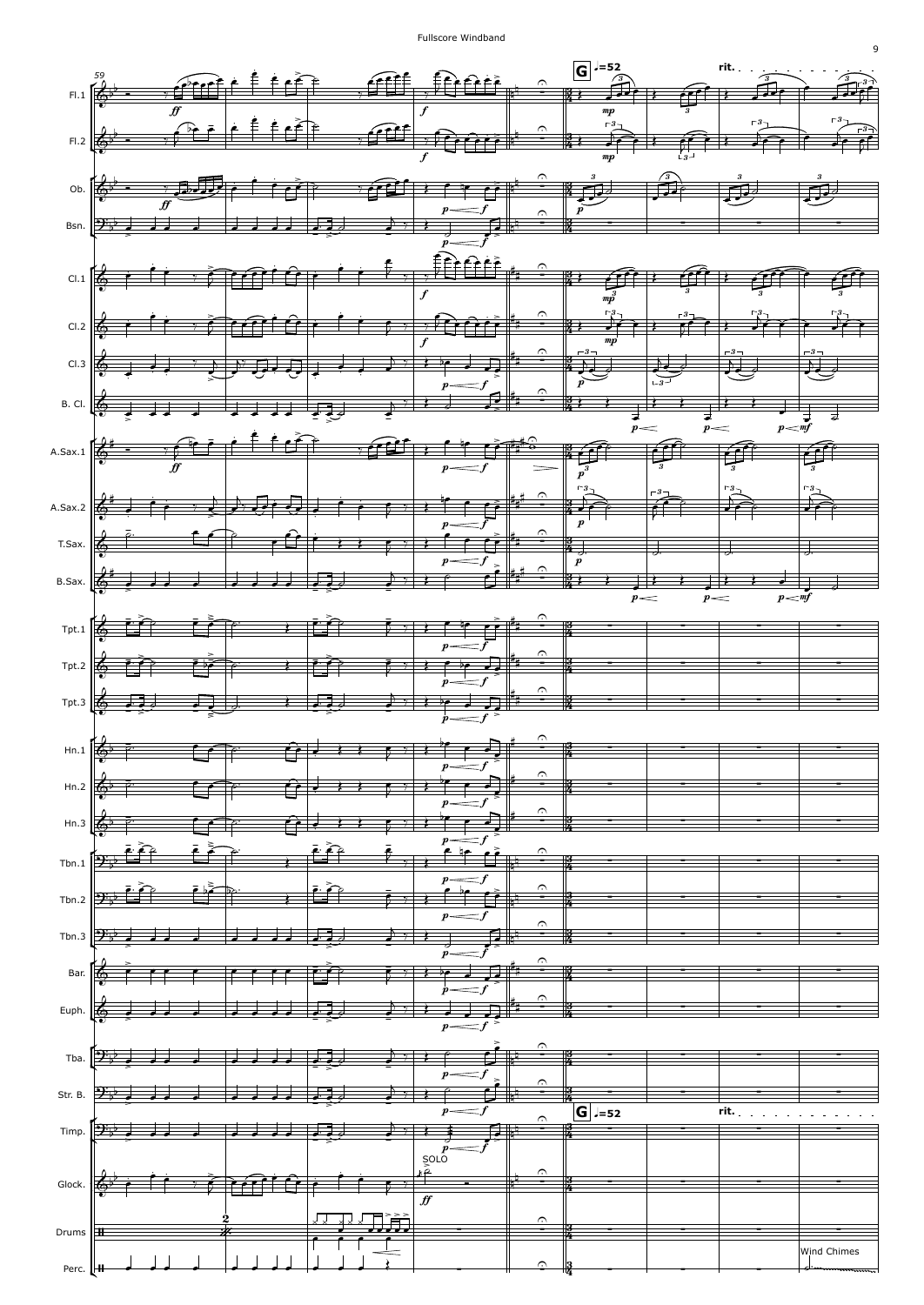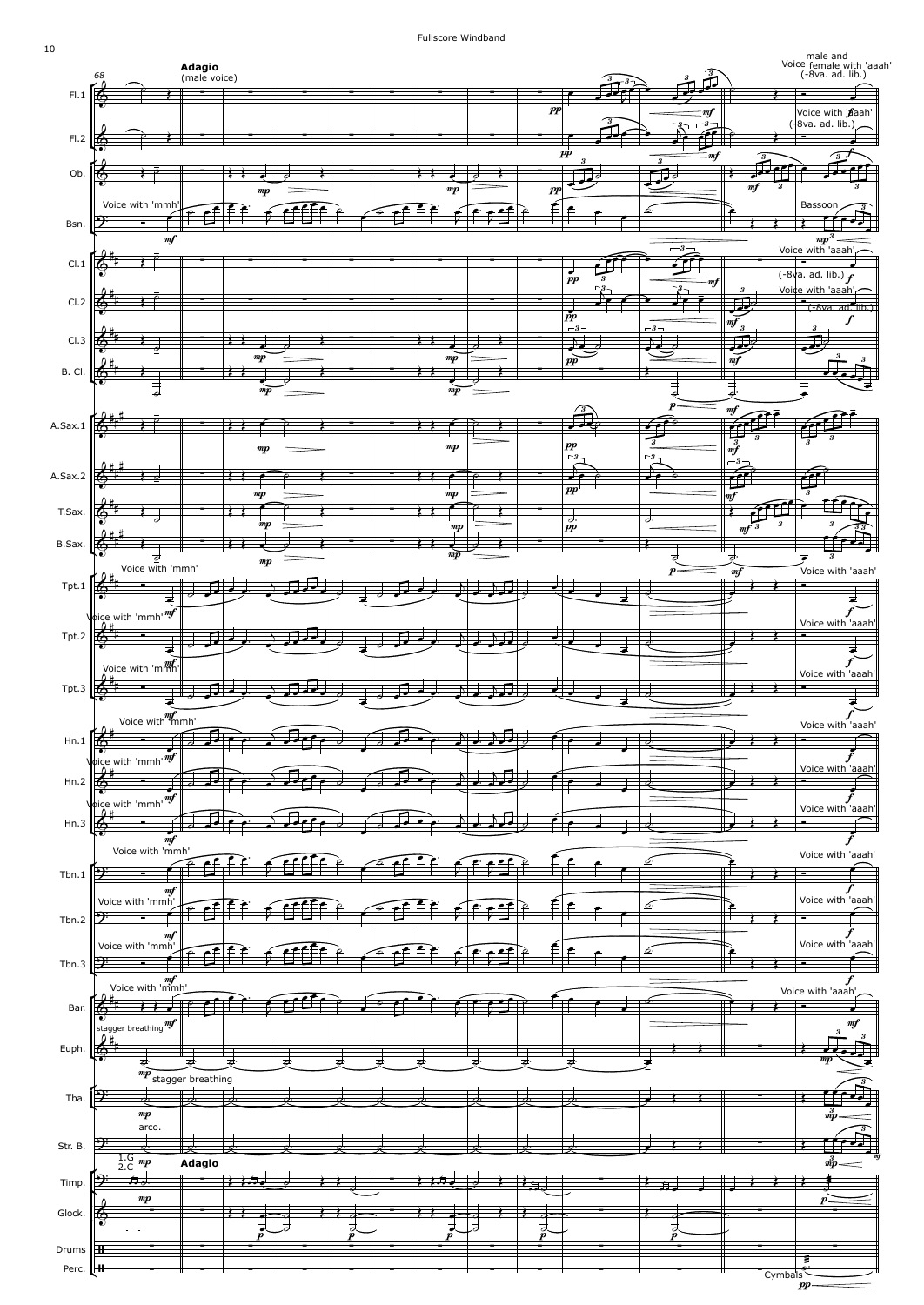Fullscore Windband



pp

10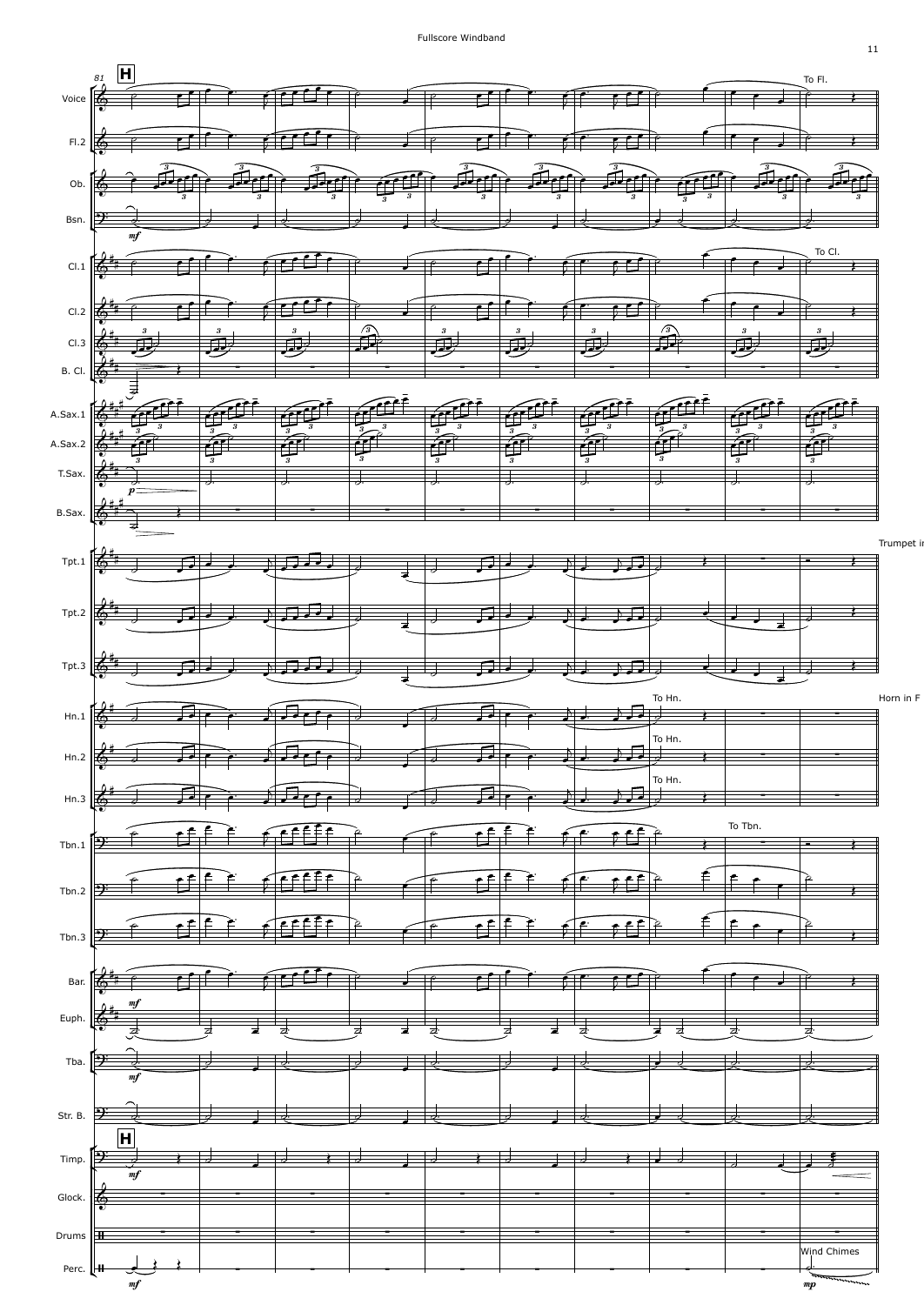Fullscore Windband



 $\mathfrak{m}$  mp  $\mathfrak{m}$  mp  $\mathfrak{m}$  mp  $\mathfrak{m}$  mp  $\mathfrak{m}$  mp  $\mathfrak{m}$  mp  $\mathfrak{m}$  m

11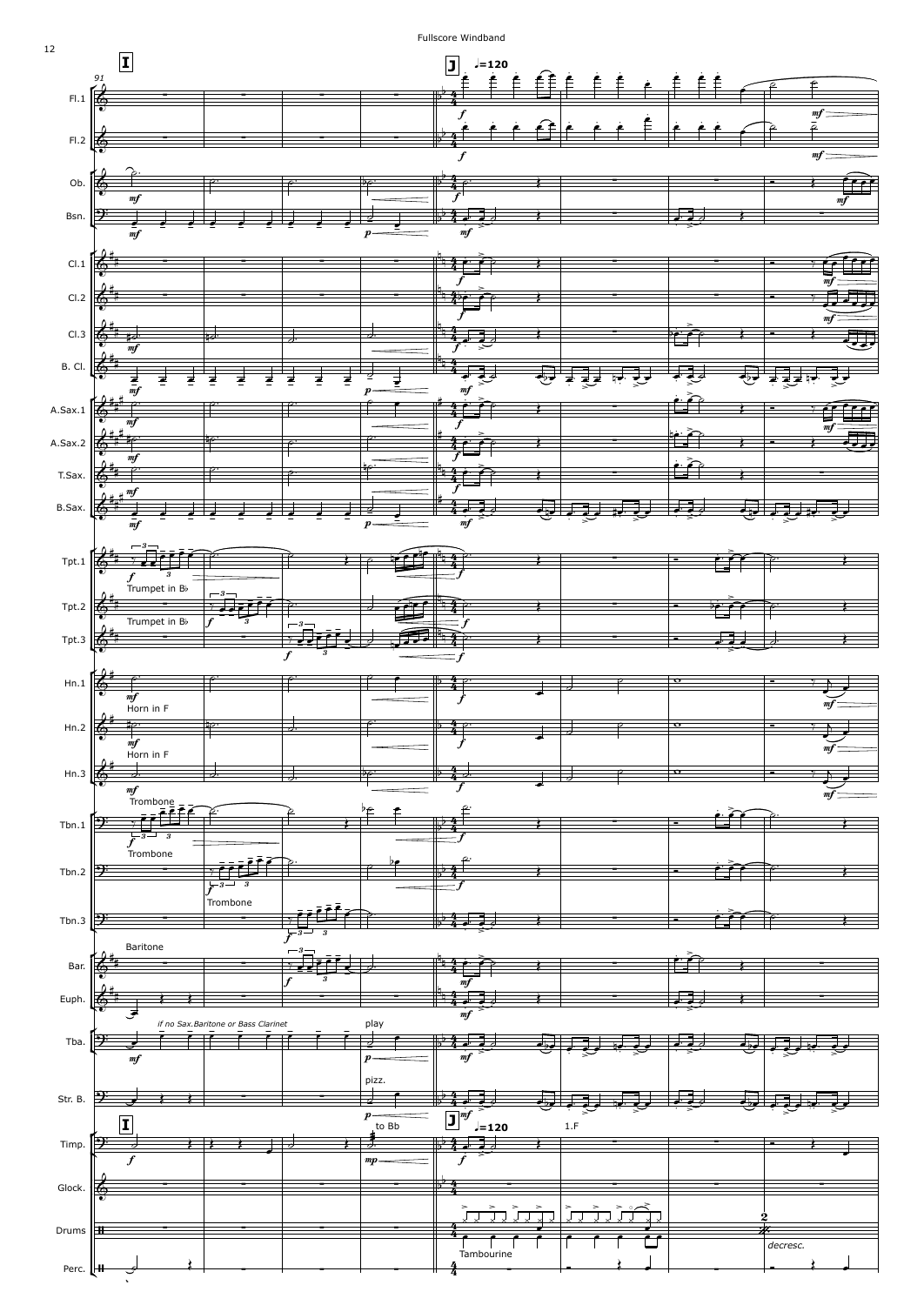

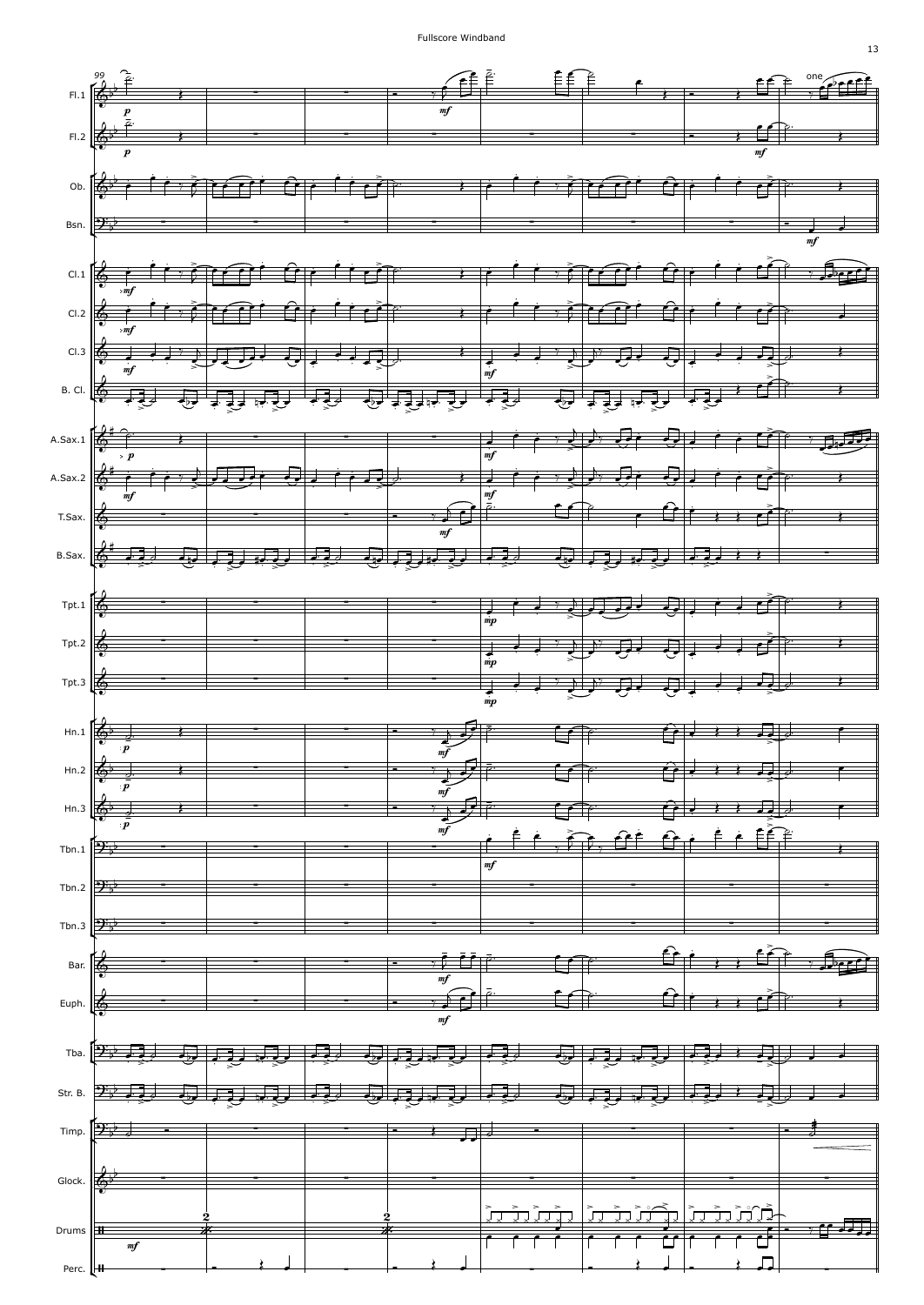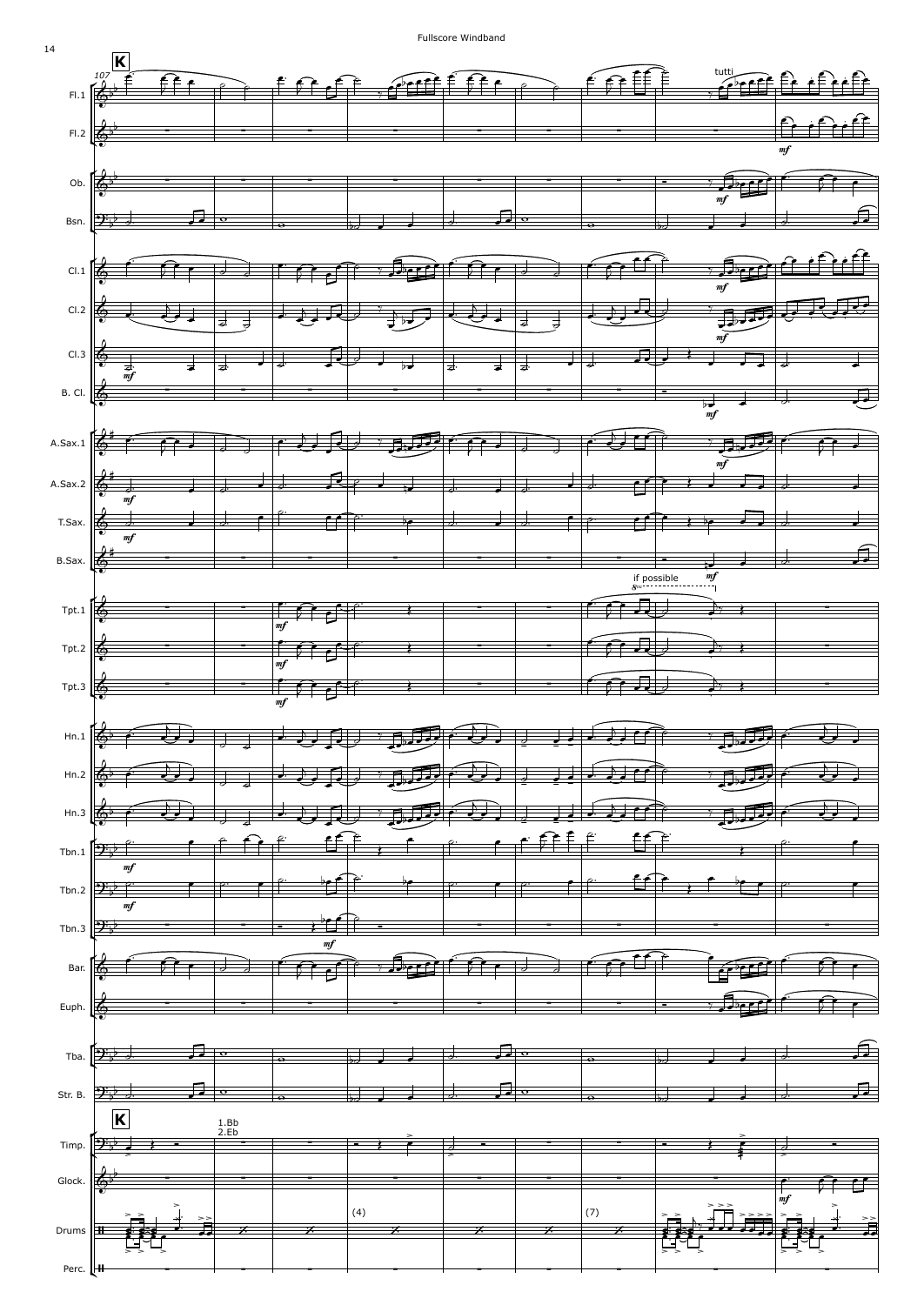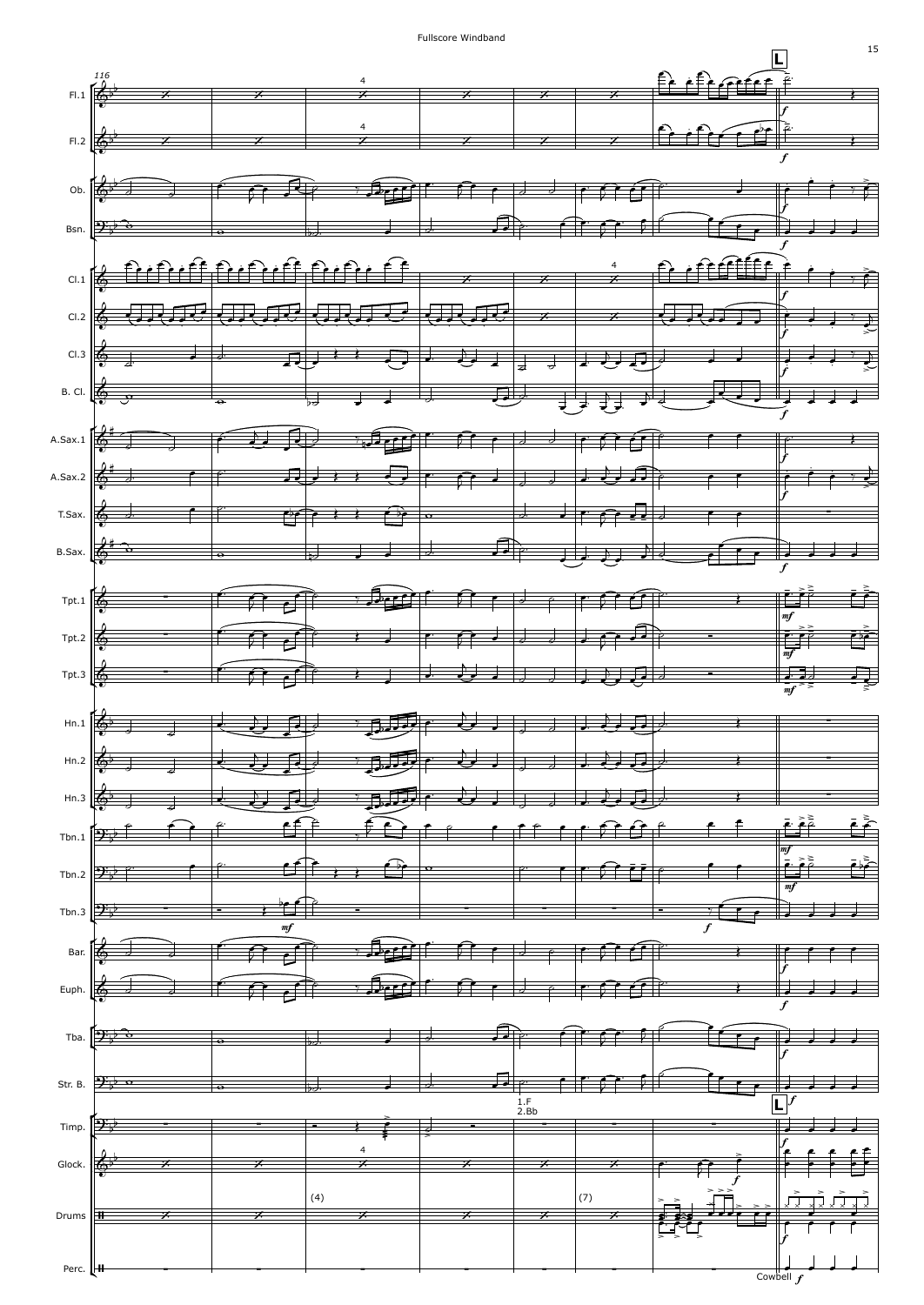